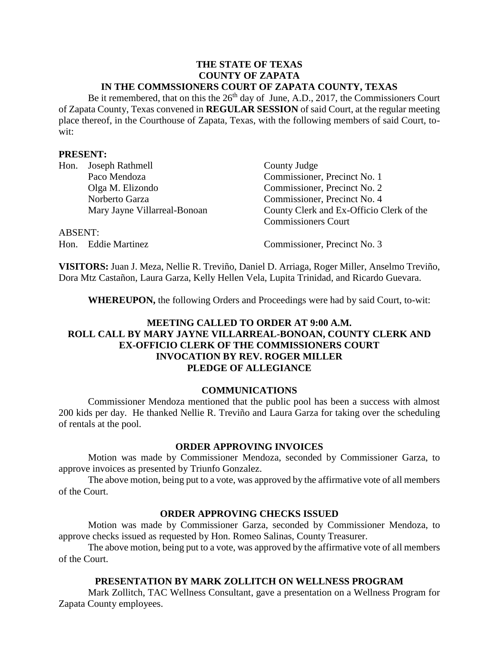#### **THE STATE OF TEXAS COUNTY OF ZAPATA IN THE COMMSSIONERS COURT OF ZAPATA COUNTY, TEXAS**

Be it remembered, that on this the  $26<sup>th</sup>$  day of June, A.D., 2017, the Commissioners Court of Zapata County, Texas convened in **REGULAR SESSION** of said Court, at the regular meeting place thereof, in the Courthouse of Zapata, Texas, with the following members of said Court, towit:

#### **PRESENT:**

| Hon.           | Joseph Rathmell              | County Judge                             |  |  |
|----------------|------------------------------|------------------------------------------|--|--|
|                | Paco Mendoza                 | Commissioner, Precinct No. 1             |  |  |
|                | Olga M. Elizondo             | Commissioner, Precinct No. 2             |  |  |
|                | Norberto Garza               | Commissioner, Precinct No. 4             |  |  |
|                | Mary Jayne Villarreal-Bonoan | County Clerk and Ex-Officio Clerk of the |  |  |
|                |                              | <b>Commissioners Court</b>               |  |  |
| <b>ABSENT:</b> |                              |                                          |  |  |
|                | Hon. Eddie Martinez          | Commissioner, Precinct No. 3             |  |  |

**VISITORS:** Juan J. Meza, Nellie R. Treviño, Daniel D. Arriaga, Roger Miller, Anselmo Treviño, Dora Mtz Castañon, Laura Garza, Kelly Hellen Vela, Lupita Trinidad, and Ricardo Guevara.

**WHEREUPON,** the following Orders and Proceedings were had by said Court, to-wit:

# **MEETING CALLED TO ORDER AT 9:00 A.M. ROLL CALL BY MARY JAYNE VILLARREAL-BONOAN, COUNTY CLERK AND EX-OFFICIO CLERK OF THE COMMISSIONERS COURT INVOCATION BY REV. ROGER MILLER PLEDGE OF ALLEGIANCE**

#### **COMMUNICATIONS**

Commissioner Mendoza mentioned that the public pool has been a success with almost 200 kids per day. He thanked Nellie R. Treviño and Laura Garza for taking over the scheduling of rentals at the pool.

#### **ORDER APPROVING INVOICES**

Motion was made by Commissioner Mendoza, seconded by Commissioner Garza, to approve invoices as presented by Triunfo Gonzalez.

The above motion, being put to a vote, was approved by the affirmative vote of all members of the Court.

## **ORDER APPROVING CHECKS ISSUED**

Motion was made by Commissioner Garza, seconded by Commissioner Mendoza, to approve checks issued as requested by Hon. Romeo Salinas, County Treasurer.

The above motion, being put to a vote, was approved by the affirmative vote of all members of the Court.

## **PRESENTATION BY MARK ZOLLITCH ON WELLNESS PROGRAM**

Mark Zollitch, TAC Wellness Consultant, gave a presentation on a Wellness Program for Zapata County employees.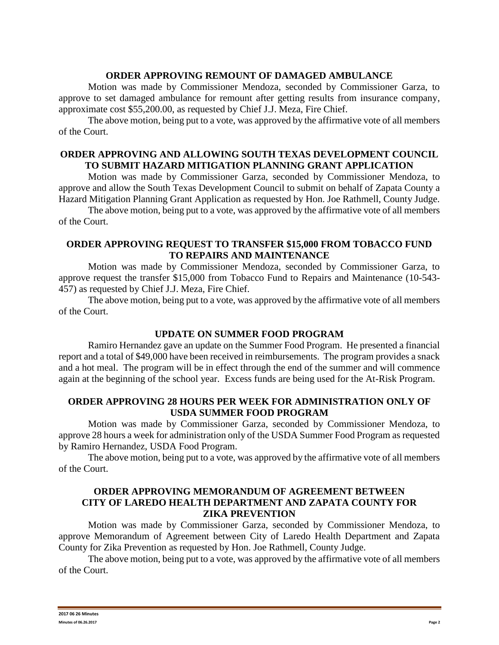#### **ORDER APPROVING REMOUNT OF DAMAGED AMBULANCE**

Motion was made by Commissioner Mendoza, seconded by Commissioner Garza, to approve to set damaged ambulance for remount after getting results from insurance company, approximate cost \$55,200.00, as requested by Chief J.J. Meza, Fire Chief.

The above motion, being put to a vote, was approved by the affirmative vote of all members of the Court.

## **ORDER APPROVING AND ALLOWING SOUTH TEXAS DEVELOPMENT COUNCIL TO SUBMIT HAZARD MITIGATION PLANNING GRANT APPLICATION**

Motion was made by Commissioner Garza, seconded by Commissioner Mendoza, to approve and allow the South Texas Development Council to submit on behalf of Zapata County a Hazard Mitigation Planning Grant Application as requested by Hon. Joe Rathmell, County Judge.

The above motion, being put to a vote, was approved by the affirmative vote of all members of the Court.

## **ORDER APPROVING REQUEST TO TRANSFER \$15,000 FROM TOBACCO FUND TO REPAIRS AND MAINTENANCE**

Motion was made by Commissioner Mendoza, seconded by Commissioner Garza, to approve request the transfer \$15,000 from Tobacco Fund to Repairs and Maintenance (10-543- 457) as requested by Chief J.J. Meza, Fire Chief.

The above motion, being put to a vote, was approved by the affirmative vote of all members of the Court.

## **UPDATE ON SUMMER FOOD PROGRAM**

Ramiro Hernandez gave an update on the Summer Food Program. He presented a financial report and a total of \$49,000 have been received in reimbursements. The program provides a snack and a hot meal. The program will be in effect through the end of the summer and will commence again at the beginning of the school year. Excess funds are being used for the At-Risk Program.

## **ORDER APPROVING 28 HOURS PER WEEK FOR ADMINISTRATION ONLY OF USDA SUMMER FOOD PROGRAM**

Motion was made by Commissioner Garza, seconded by Commissioner Mendoza, to approve 28 hours a week for administration only of the USDA Summer Food Program as requested by Ramiro Hernandez, USDA Food Program.

The above motion, being put to a vote, was approved by the affirmative vote of all members of the Court.

## **ORDER APPROVING MEMORANDUM OF AGREEMENT BETWEEN CITY OF LAREDO HEALTH DEPARTMENT AND ZAPATA COUNTY FOR ZIKA PREVENTION**

Motion was made by Commissioner Garza, seconded by Commissioner Mendoza, to approve Memorandum of Agreement between City of Laredo Health Department and Zapata County for Zika Prevention as requested by Hon. Joe Rathmell, County Judge.

The above motion, being put to a vote, was approved by the affirmative vote of all members of the Court.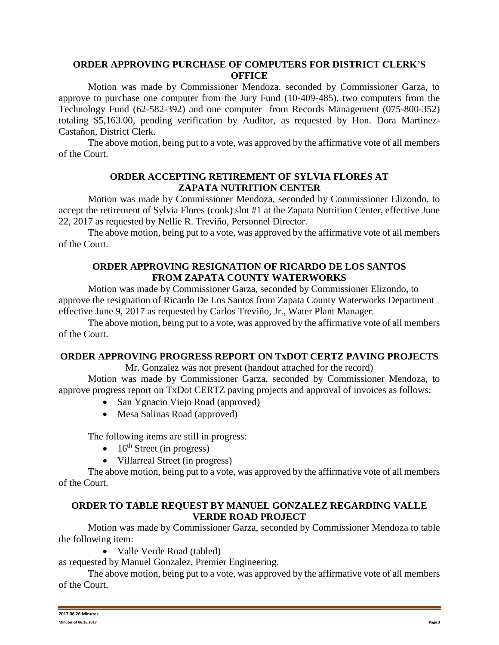## **ORDER APPROVING PURCHASE OF COMPUTERS FOR DISTRICT CLERK'S OFFICE**

Motion was made by Commissioner Mendoza, seconded by Commissioner Garza, to approve to purchase one computer from the Jury Fund (10-409-485), two computers from the Technology Fund (62-582-392) and one computer from Records Management (075-800-352) totaling \$5,163.00, pending verification by Auditor, as requested by Hon. Dora Martinez-Castañon, District Clerk.

The above motion, being put to a vote, was approved by the affirmative vote of all members of the Court.

## **ORDER ACCEPTING RETIREMENT OF SYLVIA FLORES AT ZAPATA NUTRITION CENTER**

Motion was made by Commissioner Mendoza, seconded by Commissioner Elizondo, to accept the retirement of Sylvia Flores (cook) slot #1 at the Zapata Nutrition Center, effective June 22, 2017 as requested by Nellie R. Treviño, Personnel Director.

The above motion, being put to a vote, was approved by the affirmative vote of all members of the Court.

# **ORDER APPROVING RESIGNATION OF RICARDO DE LOS SANTOS FROM ZAPATA COUNTY WATERWORKS**

Motion was made by Commissioner Garza, seconded by Commissioner Elizondo, to approve the resignation of Ricardo De Los Santos from Zapata County Waterworks Department effective June 9, 2017 as requested by Carlos Treviño, Jr., Water Plant Manager.

The above motion, being put to a vote, was approved by the affirmative vote of all members of the Court.

## **ORDER APPROVING PROGRESS REPORT ON TxDOT CERTZ PAVING PROJECTS**

Mr. Gonzalez was not present (handout attached for the record)

Motion was made by Commissioner Garza, seconded by Commissioner Mendoza, to approve progress report on TxDot CERTZ paving projects and approval of invoices as follows:

- San Ygnacio Viejo Road (approved)
- Mesa Salinas Road (approved)

The following items are still in progress:

- $\bullet$  16<sup>th</sup> Street (in progress)
- Villarreal Street (in progress)

The above motion, being put to a vote, was approved by the affirmative vote of all members of the Court.

## **ORDER TO TABLE REQUEST BY MANUEL GONZALEZ REGARDING VALLE VERDE ROAD PROJECT**

Motion was made by Commissioner Garza, seconded by Commissioner Mendoza to table the following item:

Valle Verde Road (tabled)

as requested by Manuel Gonzalez, Premier Engineering.

The above motion, being put to a vote, was approved by the affirmative vote of all members of the Court.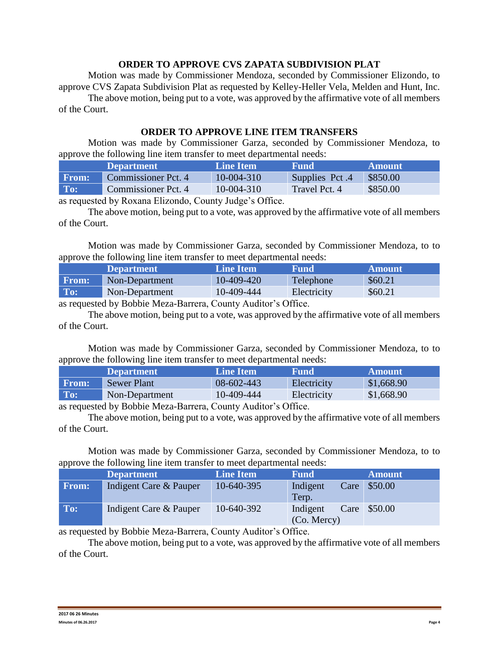## **ORDER TO APPROVE CVS ZAPATA SUBDIVISION PLAT**

Motion was made by Commissioner Mendoza, seconded by Commissioner Elizondo, to approve CVS Zapata Subdivision Plat as requested by Kelley-Heller Vela, Melden and Hunt, Inc.

The above motion, being put to a vote, was approved by the affirmative vote of all members of the Court.

## **ORDER TO APPROVE LINE ITEM TRANSFERS**

Motion was made by Commissioner Garza, seconded by Commissioner Mendoza, to approve the following line item transfer to meet departmental needs:

|              | <b>Department</b>   | <b>Line Item</b> | <b>Fund</b>    | <b>Amount</b> |
|--------------|---------------------|------------------|----------------|---------------|
| <b>From:</b> | Commissioner Pct. 4 | $10-004-310$     | Supplies Pct.4 | \$850.00      |
| To:          | Commissioner Pct. 4 | 10-004-310       | Travel Pct. 4  | \$850.00      |

as requested by Roxana Elizondo, County Judge's Office.

The above motion, being put to a vote, was approved by the affirmative vote of all members of the Court.

Motion was made by Commissioner Garza, seconded by Commissioner Mendoza, to to approve the following line item transfer to meet departmental needs:

|              | Department     | <b>Line Item</b> | <b>Fund</b> | <b>Amount</b> |
|--------------|----------------|------------------|-------------|---------------|
| <b>From:</b> | Non-Department | 10-409-420       | Telephone   | \$60.21       |
| To:          | Non-Department | 10-409-444       | Electricity | \$60.21       |

as requested by Bobbie Meza-Barrera, County Auditor's Office.

The above motion, being put to a vote, was approved by the affirmative vote of all members of the Court.

Motion was made by Commissioner Garza, seconded by Commissioner Mendoza, to to approve the following line item transfer to meet departmental needs:

|              | <b>Department</b>  | <b>Line Item</b> | <b>Fund</b> | <b>Amount</b> |
|--------------|--------------------|------------------|-------------|---------------|
| <b>From:</b> | <b>Sewer Plant</b> | 08-602-443       | Electricity | \$1,668.90    |
| $\Gamma$ To: | Non-Department     | 10-409-444       | Electricity | \$1,668.90    |

as requested by Bobbie Meza-Barrera, County Auditor's Office.

The above motion, being put to a vote, was approved by the affirmative vote of all members of the Court.

Motion was made by Commissioner Garza, seconded by Commissioner Mendoza, to to approve the following line item transfer to meet departmental needs:

|              | <b>Department</b>      | <b>Line Item</b> | <b>Fund</b>                     | <b>Amount</b> |
|--------------|------------------------|------------------|---------------------------------|---------------|
| <b>From:</b> | Indigent Care & Pauper | 10-640-395       | Indigent<br>Care<br>Terp.       | \$50.00       |
| To:          | Indigent Care & Pauper | 10-640-392       | Indigent<br>Care<br>(Co. Mercy) | \$50.00       |

as requested by Bobbie Meza-Barrera, County Auditor's Office.

The above motion, being put to a vote, was approved by the affirmative vote of all members of the Court.